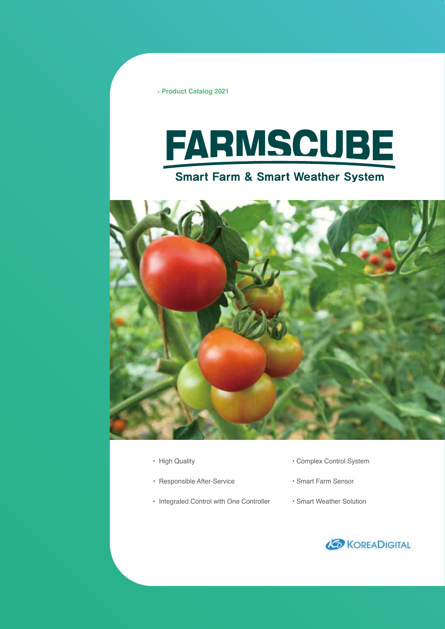• **Product Catalog 2021**



## **Smart Farm & Smart Weather System**



- High Quality
- Responsible After-Service
- Integrated Control with One Controller
- Complex Control System
- Smart Farm Sensor
- Smart Weather Solution

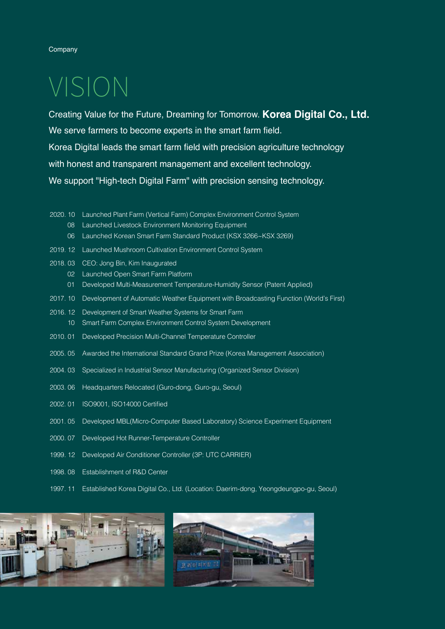#### Company

# VISION

Creating Value for the Future, Dreaming for Tomorrow. **Korea Digital Co., Ltd.** We serve farmers to become experts in the smart farm field. Korea Digital leads the smart farm field with precision agriculture technology with honest and transparent management and excellent technology. We support "High-tech Digital Farm" with precision sensing technology.

- 2020. 10 Launched Plant Farm (Vertical Farm) Complex Environment Control System
	- 08 Launched Livestock Environment Monitoring Equipment
	- 06 Launched Korean Smart Farm Standard Product (KSX 3266~KSX 3269)
- 2019. 12 Launched Mushroom Cultivation Environment Control System
- 2018. 03 CEO: Jong Bin, Kim Inaugurated
	- 02 Launched Open Smart Farm Platform
	- 01 Developed Multi-Measurement Temperature-Humidity Sensor (Patent Applied)
- 2017. 10 Development of Automatic Weather Equipment with Broadcasting Function (World's First)
- 2016. 12 Development of Smart Weather Systems for Smart Farm 10 Smart Farm Complex Environment Control System Development
- 2010. 01 Developed Precision Multi-Channel Temperature Controller
- 2005. 05 Awarded the International Standard Grand Prize (Korea Management Association)
- 2004. 03 Specialized in Industrial Sensor Manufacturing (Organized Sensor Division)
- 2003. 06 Headquarters Relocated (Guro-dong, Guro-gu, Seoul)
- 2002. 01 ISO9001, ISO14000 Certified
- 2001. 05 Developed MBL(Micro-Computer Based Laboratory) Science Experiment Equipment
- 2000. 07 Developed Hot Runner-Temperature Controller
- 1999. 12 Developed Air Conditioner Controller (3P: UTC CARRIER)
- 1998. 08 Establishment of R&D Center
- 1997. 11 Established Korea Digital Co., Ltd. (Location: Daerim-dong, Yeongdeungpo-gu, Seoul)



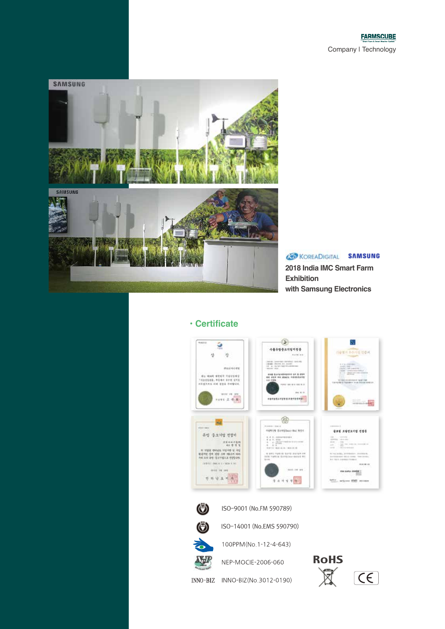

*<u>O KOREADIGITAL SAMSUNG</u>* **2018 India IMC Smart Farm Exhibition with Samsung Electronics**

#### **• Certificate**





100PPM(No.1-12-4-643)

NEP-MOCIE-2006-060

**RoHS**  $\overline{\mathbb{X}}$   $\alpha$ 

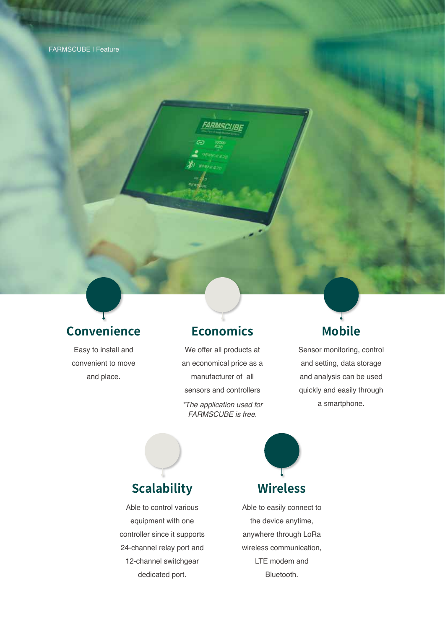

Easy to install and convenient to move and place.

### **Economics**

FARMASCUBL

We offer all products at an economical price as a manufacturer of all sensors and controllers

*\*The application used for FARMSCUBE is free.*

# **Mobile**

Sensor monitoring, control and setting, data storage and analysis can be used quickly and easily through a smartphone.

## **Scalability**

Able to control various equipment with one controller since it supports 24-channel relay port and 12-channel switchgear dedicated port.



# **Wireless**

Able to easily connect to the device anytime, anywhere through LoRa wireless communication, LTE modem and Bluetooth.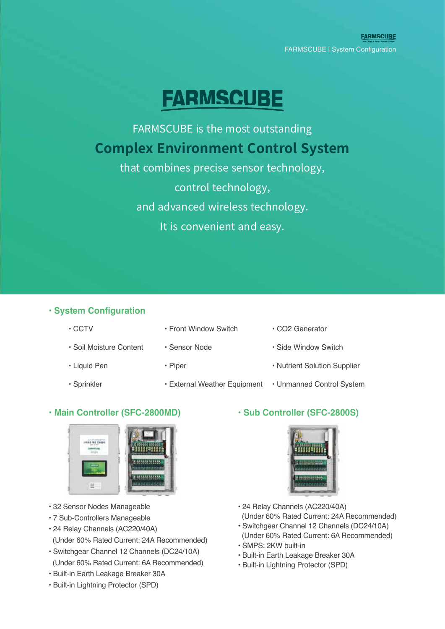# **FARMSCUBE**

FARMSCUBE is the most outstanding **Complex Environment Control System** that combines precise sensor technology,

control technology,

and advanced wireless technology.

It is convenient and easy.

#### **• System Configuration**

- 
- Soil Moisture Content Sensor Node • Side Window Switch
- 
- 
- CCTV Front Window Switch CO2 Generator
	-
	-
- Sprinkler External Weather Equipment Unmanned Control System
- 
- 
- Liquid Pen Piper Piper Nutrient Solution Supplier
	-

#### **• Main Controller (SFC-2800MD) • Sub Controller (SFC-2800S)**



- 32 Sensor Nodes Manageable
- 7 Sub-Controllers Manageable
- 24 Relay Channels (AC220/40A)
- (Under 60% Rated Current: 24A Recommended)
- Switchgear Channel 12 Channels (DC24/10A) (Under 60% Rated Current: 6A Recommended)
- Built-in Earth Leakage Breaker 30A
- Built-in Lightning Protector (SPD)



- 24 Relay Channels (AC220/40A) (Under 60% Rated Current: 24A Recommended)
- Switchgear Channel 12 Channels (DC24/10A) (Under 60% Rated Current: 6A Recommended)
- SMPS: 2KW built-in
- Built-in Earth Leakage Breaker 30A
- Built-in Lightning Protector (SPD)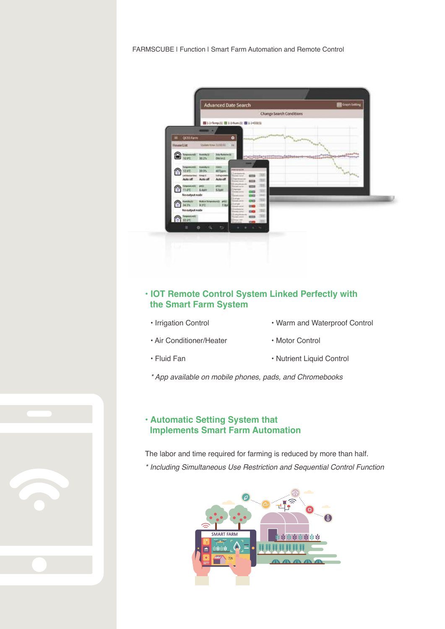FARMSCUBE | Function | Smart Farm Automation and Remote Control



#### **• IOT Remote Control System Linked Perfectly with the Smart Farm System**

- Irrigation Control
- Air Conditioner/Heater
- Fluid Fan
- Warm and Waterproof Control
- Motor Control
- Nutrient Liquid Control
- *\* App available on mobile phones, pads, and Chromebooks*

#### **• Automatic Setting System that Implements Smart Farm Automation**

The labor and time required for farming is reduced by more than half.

*\* Including Simultaneous Use Restriction and Sequential Control Function*

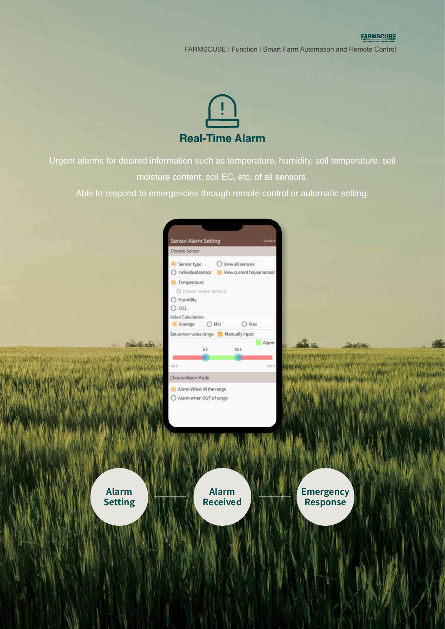#### **FARMSCUBE**

FARMSCUBE | Function | Smart Farm Automation and Remote Control



Urgent alarms for desired information such as temperature, humidity, soil temperature, soil moisture content, soil EC, etc. of all sensors.

Able to respond to emergencies through remote control or automatic setting.

|                    | <b>Sensor Alarm Setting</b><br>Confirm<br>Choose Sensor                                |                                                |
|--------------------|----------------------------------------------------------------------------------------|------------------------------------------------|
|                    | O View all sensors<br>Sensor type<br>○ Individual sensor (a) View current house sensor |                                                |
|                    | <b>O</b> Temperature<br>1 touse-nodel-temp.(1)<br>O Humidity<br>$O$ CO <sub>2</sub>    |                                                |
|                    | Value Calculation<br>$\bigcirc$ Min<br>$O$ Max<br>Average                              |                                                |
|                    | Set sensor value range Manually input                                                  |                                                |
| <b>Address</b>     | Alarm<br>6.2<br>52.4                                                                   |                                                |
| <b>Wild Health</b> | $-45.0$<br>100.0                                                                       | <b>CONTROL</b><br>w na<br><b>ANNOUNCE RUNS</b> |
|                    | Choose Alarm Mode                                                                      |                                                |
|                    | Alarm When IN the range<br>O Alarm when OUT of range                                   |                                                |
|                    |                                                                                        |                                                |
|                    |                                                                                        |                                                |
|                    |                                                                                        |                                                |
|                    |                                                                                        |                                                |
|                    |                                                                                        |                                                |
|                    |                                                                                        |                                                |
| Alarm              | <b>Alarm</b>                                                                           | <b>Emergency</b>                               |
| <b>Setting</b>     | <b>Received</b>                                                                        | <b>Response</b>                                |
|                    |                                                                                        |                                                |
|                    |                                                                                        |                                                |
|                    |                                                                                        |                                                |
|                    |                                                                                        |                                                |
|                    |                                                                                        |                                                |
|                    |                                                                                        |                                                |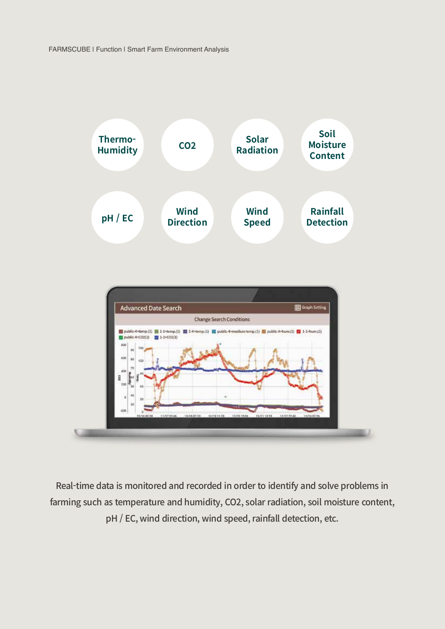

Real-time data is monitored and recorded in order to identify and solve problems in farming such as temperature and humidity, CO2, solar radiation, soil moisture content, pH / EC, wind direction, wind speed, rainfall detection, etc.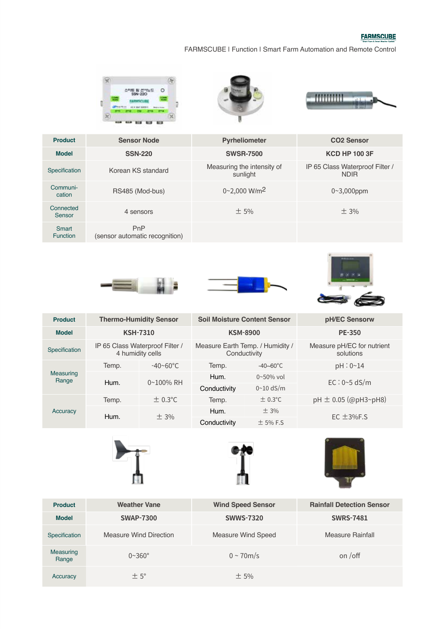#### **FARMSCUBE**

FARMSCUBE | Function | Smart Farm Automation and Remote Control







| <b>Product</b>           | <b>Sensor Node</b>                    | <b>Pyrheliometer</b>                   | CO <sub>2</sub> Sensor                         |
|--------------------------|---------------------------------------|----------------------------------------|------------------------------------------------|
| <b>Model</b>             | <b>SSN-220</b>                        | <b>SWSR-7500</b>                       | <b>KCD HP 100 3F</b>                           |
| Specification            | Korean KS standard                    | Measuring the intensity of<br>sunlight | IP 65 Class Waterproof Filter /<br><b>NDIR</b> |
| Communi-<br>cation       | RS485 (Mod-bus)                       | $0 - 2,000$ W/m <sup>2</sup>           | $0 - 3,000$ ppm                                |
| Connected<br>Sensor      | 4 sensors                             | ± 5%                                   | ± 3%                                           |
| Smart<br><b>Function</b> | PnP<br>(sensor automatic recognition) |                                        |                                                |
|                          |                                       |                                        |                                                |







| <b>Product</b>            |                 | <b>Thermo-Humidity Sensor</b>                       | <b>Soil Moisture Content Sensor</b>              |                       | pH/EC Sensorw                           |
|---------------------------|-----------------|-----------------------------------------------------|--------------------------------------------------|-----------------------|-----------------------------------------|
| <b>Model</b>              | <b>KSH-7310</b> |                                                     | <b>KSM-8900</b>                                  |                       | <b>PE-350</b>                           |
| Specification             |                 | IP 65 Class Waterproof Filter /<br>4 humidity cells | Measure Earth Temp. / Humidity /<br>Conductivity |                       | Measure pH/EC for nutrient<br>solutions |
| <b>Measuring</b><br>Range | Temp.           | $-40$ ~60°C                                         | Temp.                                            | $-40 - 60^{\circ}$ C. | $pH: 0 \sim 14$                         |
|                           | Hum.            | $0 - 100\%$ RH                                      | Hum.                                             | $0~50\%$ vol          | $EC: 0~5$ dS/m                          |
|                           |                 |                                                     | Conductivity                                     | $0~10$ dS/m           |                                         |
| Accuracy                  | Temp.           | $\pm$ 0.3°C                                         | Temp.                                            | $\pm$ 0.3°C           | $pH \pm 0.05$ (@pH3~pH8)                |
|                           | Hum.            | ± 3%                                                | Hum.                                             | ± 3%                  | EC $\pm$ 3%F.S                          |
|                           |                 |                                                     | Conductivity                                     | $\pm$ 5% F.S          |                                         |







| <b>Product</b>     | <b>Weather Vane</b>    | <b>Wind Speed Sensor</b>  | <b>Rainfall Detection Sensor</b> |
|--------------------|------------------------|---------------------------|----------------------------------|
| <b>Model</b>       | <b>SWAP-7300</b>       | <b>SWWS-7320</b>          | <b>SWRS-7481</b>                 |
| Specification      | Measure Wind Direction | <b>Measure Wind Speed</b> | Measure Rainfall                 |
| Measuring<br>Range | $0 \sim 360^\circ$     | $0 \sim 70 \text{m/s}$    | on /off                          |
| Accuracy           | $\pm$ 5°               | ±5%                       |                                  |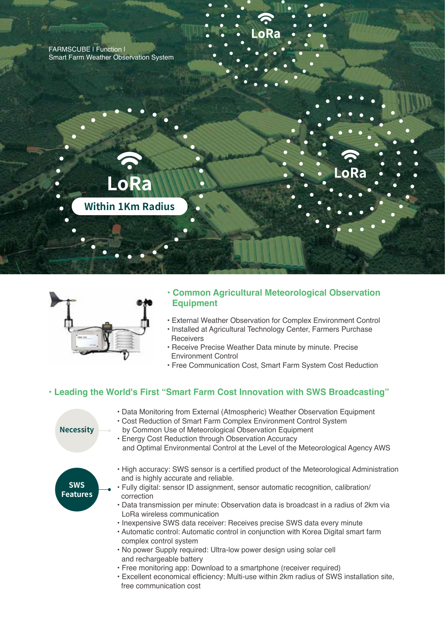FARMSCUBE | Function | Smart Farm Weather Observation System

# -oRa **Within 1Km Radius**



#### **• Common Agricultural Meteorological Observation Equipment**

**oRa** 

- External Weather Observation for Complex Environment Control
- Installed at Agricultural Technology Center, Farmers Purchase **Receivers**
- Receive Precise Weather Data minute by minute. Precise Environment Control
- Free Communication Cost, Smart Farm System Cost Reduction

#### **• Leading the World's First "Smart Farm Cost Innovation with SWS Broadcasting"**

### **Necessity**

by Common Use of Meteorological Observation Equipment • Energy Cost Reduction through Observation Accuracy and Optimal Environmental Control at the Level of the Meteorological Agency AWS

• Data Monitoring from External (Atmospheric) Weather Observation Equipment

• Cost Reduction of Smart Farm Complex Environment Control System



- High accuracy: SWS sensor is a certified product of the Meteorological Administration and is highly accurate and reliable.
- Fully digital: sensor ID assignment, sensor automatic recognition, calibration/ correction
- Data transmission per minute: Observation data is broadcast in a radius of 2km via LoRa wireless communication
- Inexpensive SWS data receiver: Receives precise SWS data every minute
- Automatic control: Automatic control in conjunction with Korea Digital smart farm complex control system
- No power Supply required: Ultra-low power design using solar cell and rechargeable battery
- Free monitoring app: Download to a smartphone (receiver required)
- Excellent economical efficiency: Multi-use within 2km radius of SWS installation site, free communication cost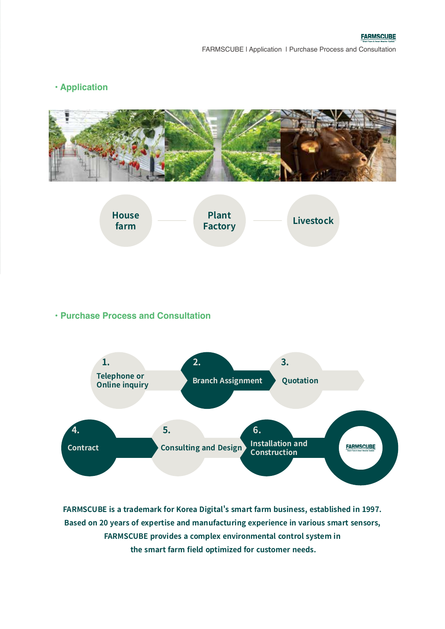#### **• Application**





#### **• Purchase Process and Consultation**



**FARMSCUBE is a trademark for Korea Digital's smart farm business, established in 1997. Based on 20 years of expertise and manufacturing experience in various smart sensors, FARMSCUBE provides a complex environmental control system in the smart farm field optimized for customer needs.**